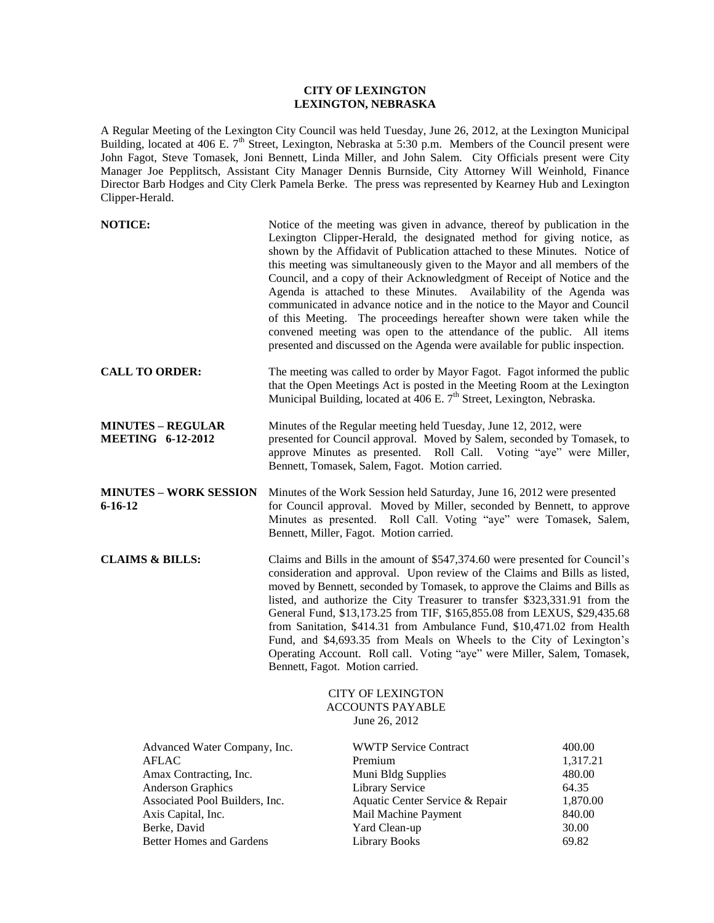## **CITY OF LEXINGTON LEXINGTON, NEBRASKA**

A Regular Meeting of the Lexington City Council was held Tuesday, June 26, 2012, at the Lexington Municipal Building, located at 406 E.  $7<sup>th</sup>$  Street, Lexington, Nebraska at 5:30 p.m. Members of the Council present were John Fagot, Steve Tomasek, Joni Bennett, Linda Miller, and John Salem. City Officials present were City Manager Joe Pepplitsch, Assistant City Manager Dennis Burnside, City Attorney Will Weinhold, Finance Director Barb Hodges and City Clerk Pamela Berke. The press was represented by Kearney Hub and Lexington Clipper-Herald.

|                                                                                                                                                                                                                                                                                                                                                                                                                                                                                                                                                                                                                                                                  | Notice of the meeting was given in advance, thereof by publication in the                                                                                    |                                                                                                                                                                                                                                                                                                                                                                                                                                                                                                                                                                                                                                                                                                                                                                                                                                                                                                                                                                                                                                                                                                                                                                                                                                                  |
|------------------------------------------------------------------------------------------------------------------------------------------------------------------------------------------------------------------------------------------------------------------------------------------------------------------------------------------------------------------------------------------------------------------------------------------------------------------------------------------------------------------------------------------------------------------------------------------------------------------------------------------------------------------|--------------------------------------------------------------------------------------------------------------------------------------------------------------|--------------------------------------------------------------------------------------------------------------------------------------------------------------------------------------------------------------------------------------------------------------------------------------------------------------------------------------------------------------------------------------------------------------------------------------------------------------------------------------------------------------------------------------------------------------------------------------------------------------------------------------------------------------------------------------------------------------------------------------------------------------------------------------------------------------------------------------------------------------------------------------------------------------------------------------------------------------------------------------------------------------------------------------------------------------------------------------------------------------------------------------------------------------------------------------------------------------------------------------------------|
|                                                                                                                                                                                                                                                                                                                                                                                                                                                                                                                                                                                                                                                                  |                                                                                                                                                              |                                                                                                                                                                                                                                                                                                                                                                                                                                                                                                                                                                                                                                                                                                                                                                                                                                                                                                                                                                                                                                                                                                                                                                                                                                                  |
|                                                                                                                                                                                                                                                                                                                                                                                                                                                                                                                                                                                                                                                                  |                                                                                                                                                              |                                                                                                                                                                                                                                                                                                                                                                                                                                                                                                                                                                                                                                                                                                                                                                                                                                                                                                                                                                                                                                                                                                                                                                                                                                                  |
| Minutes of the Work Session held Saturday, June 16, 2012 were presented<br>for Council approval. Moved by Miller, seconded by Bennett, to approve<br>Minutes as presented. Roll Call. Voting "aye" were Tomasek, Salem,<br>Bennett, Miller, Fagot. Motion carried.                                                                                                                                                                                                                                                                                                                                                                                               |                                                                                                                                                              |                                                                                                                                                                                                                                                                                                                                                                                                                                                                                                                                                                                                                                                                                                                                                                                                                                                                                                                                                                                                                                                                                                                                                                                                                                                  |
| Claims and Bills in the amount of \$547,374.60 were presented for Council's<br>consideration and approval. Upon review of the Claims and Bills as listed,<br>moved by Bennett, seconded by Tomasek, to approve the Claims and Bills as<br>listed, and authorize the City Treasurer to transfer \$323,331.91 from the<br>General Fund, \$13,173.25 from TIF, \$165,855.08 from LEXUS, \$29,435.68<br>from Sanitation, \$414.31 from Ambulance Fund, \$10,471.02 from Health<br>Fund, and \$4,693.35 from Meals on Wheels to the City of Lexington's<br>Operating Account. Roll call. Voting "aye" were Miller, Salem, Tomasek,<br>Bennett, Fagot. Motion carried. |                                                                                                                                                              |                                                                                                                                                                                                                                                                                                                                                                                                                                                                                                                                                                                                                                                                                                                                                                                                                                                                                                                                                                                                                                                                                                                                                                                                                                                  |
|                                                                                                                                                                                                                                                                                                                                                                                                                                                                                                                                                                                                                                                                  | <b>CITY OF LEXINGTON</b><br><b>ACCOUNTS PAYABLE</b><br>June 26, 2012                                                                                         |                                                                                                                                                                                                                                                                                                                                                                                                                                                                                                                                                                                                                                                                                                                                                                                                                                                                                                                                                                                                                                                                                                                                                                                                                                                  |
|                                                                                                                                                                                                                                                                                                                                                                                                                                                                                                                                                                                                                                                                  | <b>WWTP Service Contract</b><br>Premium<br>Muni Bldg Supplies<br>Library Service<br>Aquatic Center Service & Repair<br>Mail Machine Payment<br>Yard Clean-up | 400.00<br>1,317.21<br>480.00<br>64.35<br>1,870.00<br>840.00<br>30.00<br>69.82                                                                                                                                                                                                                                                                                                                                                                                                                                                                                                                                                                                                                                                                                                                                                                                                                                                                                                                                                                                                                                                                                                                                                                    |
|                                                                                                                                                                                                                                                                                                                                                                                                                                                                                                                                                                                                                                                                  | Advanced Water Company, Inc.<br>Associated Pool Builders, Inc.<br><b>Better Homes and Gardens</b>                                                            | Lexington Clipper-Herald, the designated method for giving notice, as<br>shown by the Affidavit of Publication attached to these Minutes. Notice of<br>this meeting was simultaneously given to the Mayor and all members of the<br>Council, and a copy of their Acknowledgment of Receipt of Notice and the<br>Agenda is attached to these Minutes. Availability of the Agenda was<br>communicated in advance notice and in the notice to the Mayor and Council<br>of this Meeting. The proceedings hereafter shown were taken while the<br>convened meeting was open to the attendance of the public. All items<br>presented and discussed on the Agenda were available for public inspection.<br>The meeting was called to order by Mayor Fagot. Fagot informed the public<br>that the Open Meetings Act is posted in the Meeting Room at the Lexington<br>Municipal Building, located at 406 E. 7 <sup>th</sup> Street, Lexington, Nebraska.<br>Minutes of the Regular meeting held Tuesday, June 12, 2012, were<br>presented for Council approval. Moved by Salem, seconded by Tomasek, to<br>approve Minutes as presented. Roll Call. Voting "aye" were Miller,<br>Bennett, Tomasek, Salem, Fagot. Motion carried.<br><b>Library Books</b> |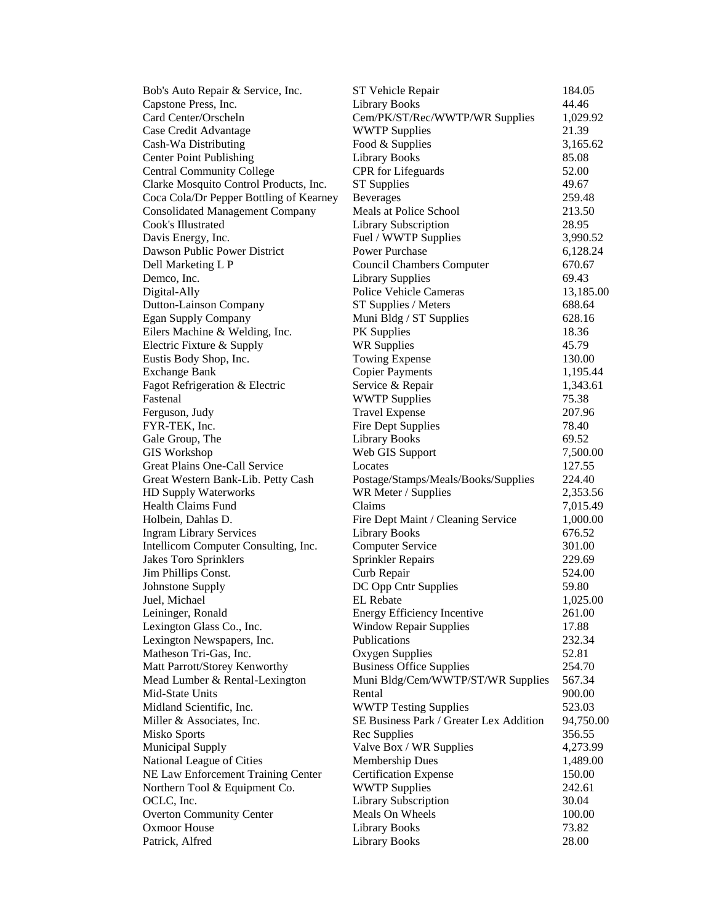| Bob's Auto Repair & Service, Inc.       | ST Vehicle Repair                       | 184.05    |
|-----------------------------------------|-----------------------------------------|-----------|
| Capstone Press, Inc.                    | <b>Library Books</b>                    | 44.46     |
| Card Center/Orscheln                    | Cem/PK/ST/Rec/WWTP/WR Supplies          | 1,029.92  |
| Case Credit Advantage                   | <b>WWTP Supplies</b>                    | 21.39     |
| Cash-Wa Distributing                    | Food & Supplies                         | 3,165.62  |
| <b>Center Point Publishing</b>          | Library Books                           | 85.08     |
| <b>Central Community College</b>        | CPR for Lifeguards                      | 52.00     |
| Clarke Mosquito Control Products, Inc.  | <b>ST</b> Supplies                      | 49.67     |
| Coca Cola/Dr Pepper Bottling of Kearney | <b>Beverages</b>                        | 259.48    |
| <b>Consolidated Management Company</b>  | Meals at Police School                  | 213.50    |
| Cook's Illustrated                      | <b>Library Subscription</b>             | 28.95     |
| Davis Energy, Inc.                      | Fuel / WWTP Supplies                    | 3,990.52  |
| Dawson Public Power District            | Power Purchase                          | 6,128.24  |
| Dell Marketing L P                      | <b>Council Chambers Computer</b>        | 670.67    |
| Demco, Inc.                             | <b>Library Supplies</b>                 | 69.43     |
| Digital-Ally                            | Police Vehicle Cameras                  | 13,185.00 |
| Dutton-Lainson Company                  | ST Supplies / Meters                    | 688.64    |
| <b>Egan Supply Company</b>              | Muni Bldg / ST Supplies                 | 628.16    |
| Eilers Machine & Welding, Inc.          | PK Supplies                             | 18.36     |
| Electric Fixture & Supply               | <b>WR Supplies</b>                      | 45.79     |
| Eustis Body Shop, Inc.                  | <b>Towing Expense</b>                   | 130.00    |
| <b>Exchange Bank</b>                    | <b>Copier Payments</b>                  | 1,195.44  |
| Fagot Refrigeration & Electric          | Service & Repair                        | 1,343.61  |
| Fastenal                                | <b>WWTP Supplies</b>                    | 75.38     |
| Ferguson, Judy                          | <b>Travel Expense</b>                   | 207.96    |
| FYR-TEK, Inc.                           | Fire Dept Supplies                      | 78.40     |
| Gale Group, The                         | <b>Library Books</b>                    | 69.52     |
| <b>GIS</b> Workshop                     | Web GIS Support                         | 7,500.00  |
| Great Plains One-Call Service           | Locates                                 | 127.55    |
| Great Western Bank-Lib. Petty Cash      | Postage/Stamps/Meals/Books/Supplies     | 224.40    |
| HD Supply Waterworks                    | WR Meter / Supplies                     | 2,353.56  |
| <b>Health Claims Fund</b>               | Claims                                  | 7,015.49  |
| Holbein, Dahlas D.                      | Fire Dept Maint / Cleaning Service      | 1,000.00  |
| <b>Ingram Library Services</b>          | <b>Library Books</b>                    | 676.52    |
| Intellicom Computer Consulting, Inc.    | <b>Computer Service</b>                 | 301.00    |
| Jakes Toro Sprinklers                   | Sprinkler Repairs                       | 229.69    |
| Jim Phillips Const.                     | Curb Repair                             | 524.00    |
| Johnstone Supply                        | DC Opp Cntr Supplies                    | 59.80     |
| Juel, Michael                           | EL Rebate                               | 1,025.00  |
| Leininger, Ronald                       | <b>Energy Efficiency Incentive</b>      | 261.00    |
| Lexington Glass Co., Inc.               | <b>Window Repair Supplies</b>           | 17.88     |
| Lexington Newspapers, Inc.              | <b>Publications</b>                     | 232.34    |
| Matheson Tri-Gas, Inc.                  | Oxygen Supplies                         | 52.81     |
| Matt Parrott/Storey Kenworthy           | <b>Business Office Supplies</b>         | 254.70    |
| Mead Lumber & Rental-Lexington          | Muni Bldg/Cem/WWTP/ST/WR Supplies       | 567.34    |
| Mid-State Units                         | Rental                                  | 900.00    |
| Midland Scientific, Inc.                | <b>WWTP Testing Supplies</b>            | 523.03    |
| Miller & Associates, Inc.               | SE Business Park / Greater Lex Addition | 94,750.00 |
| <b>Misko Sports</b>                     | Rec Supplies                            | 356.55    |
| <b>Municipal Supply</b>                 | Valve Box / WR Supplies                 | 4,273.99  |
| National League of Cities               | Membership Dues                         | 1,489.00  |
| NE Law Enforcement Training Center      | <b>Certification Expense</b>            | 150.00    |
| Northern Tool & Equipment Co.           | <b>WWTP Supplies</b>                    | 242.61    |
| OCLC, Inc.                              | Library Subscription                    | 30.04     |
| <b>Overton Community Center</b>         | Meals On Wheels                         | 100.00    |
| <b>Oxmoor House</b>                     | <b>Library Books</b>                    | 73.82     |
| Patrick, Alfred                         | <b>Library Books</b>                    | 28.00     |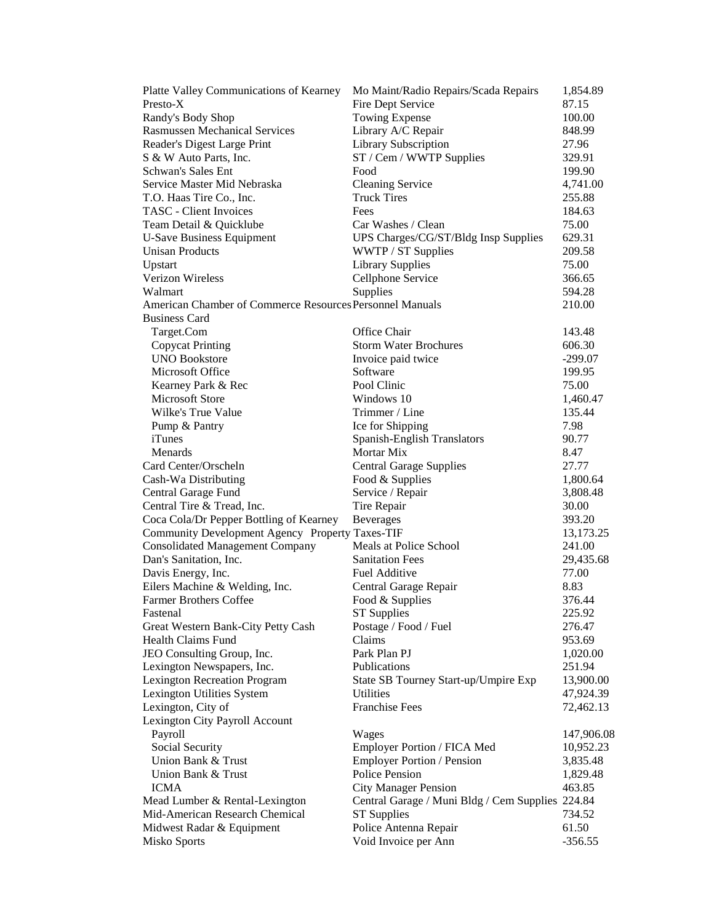| Platte Valley Communications of Kearney                          | Mo Maint/Radio Repairs/Scada Repairs             | 1,854.89        |
|------------------------------------------------------------------|--------------------------------------------------|-----------------|
| Presto-X                                                         | Fire Dept Service                                | 87.15           |
| Randy's Body Shop                                                | Towing Expense                                   | 100.00          |
| <b>Rasmussen Mechanical Services</b>                             | Library A/C Repair                               | 848.99          |
| Reader's Digest Large Print                                      | Library Subscription                             | 27.96           |
| S & W Auto Parts, Inc.                                           | ST / Cem / WWTP Supplies                         | 329.91          |
| Schwan's Sales Ent                                               | Food                                             | 199.90          |
| Service Master Mid Nebraska                                      | <b>Cleaning Service</b>                          | 4,741.00        |
| T.O. Haas Tire Co., Inc.                                         | <b>Truck Tires</b>                               | 255.88          |
| <b>TASC</b> - Client Invoices                                    | Fees                                             | 184.63          |
| Team Detail & Quicklube                                          | Car Washes / Clean                               | 75.00           |
| <b>U-Save Business Equipment</b>                                 | UPS Charges/CG/ST/Bldg Insp Supplies             | 629.31          |
| <b>Unisan Products</b>                                           | WWTP / ST Supplies                               | 209.58          |
| Upstart                                                          | <b>Library Supplies</b>                          | 75.00           |
| Verizon Wireless                                                 | Cellphone Service                                | 366.65          |
| Walmart                                                          | Supplies                                         | 594.28          |
| American Chamber of Commerce Resources Personnel Manuals         |                                                  | 210.00          |
| <b>Business Card</b>                                             |                                                  |                 |
|                                                                  | Office Chair                                     | 143.48          |
| Target.Com                                                       | <b>Storm Water Brochures</b>                     |                 |
| <b>Copycat Printing</b>                                          |                                                  | 606.30          |
| <b>UNO Bookstore</b>                                             | Invoice paid twice                               | $-299.07$       |
| Microsoft Office                                                 | Software                                         | 199.95          |
| Kearney Park & Rec                                               | Pool Clinic                                      | 75.00           |
| <b>Microsoft Store</b>                                           | Windows 10                                       | 1,460.47        |
| Wilke's True Value                                               | Trimmer / Line                                   | 135.44          |
| Pump & Pantry                                                    | Ice for Shipping                                 | 7.98            |
| <i>i</i> Tunes                                                   | Spanish-English Translators                      | 90.77           |
| Menards                                                          | <b>Mortar Mix</b>                                | 8.47            |
| Card Center/Orscheln                                             | <b>Central Garage Supplies</b>                   | 27.77           |
| Cash-Wa Distributing                                             | Food & Supplies                                  | 1,800.64        |
| Central Garage Fund                                              | Service / Repair                                 | 3,808.48        |
| Central Tire & Tread, Inc.                                       | Tire Repair                                      | 30.00           |
| Coca Cola/Dr Pepper Bottling of Kearney                          | <b>Beverages</b>                                 | 393.20          |
| Community Development Agency Property Taxes-TIF                  |                                                  | 13,173.25       |
| <b>Consolidated Management Company</b>                           | Meals at Police School                           | 241.00          |
| Dan's Sanitation, Inc.                                           | <b>Sanitation Fees</b>                           | 29,435.68       |
| Davis Energy, Inc.                                               | <b>Fuel Additive</b>                             | 77.00           |
| Eilers Machine & Welding, Inc.                                   | Central Garage Repair                            | 8.83            |
| <b>Farmer Brothers Coffee</b>                                    | Food & Supplies                                  | 376.44          |
| Fastenal                                                         | <b>ST Supplies</b>                               | 225.92          |
| Great Western Bank-City Petty Cash                               | Postage / Food / Fuel                            | 276.47          |
| <b>Health Claims Fund</b>                                        | Claims                                           | 953.69          |
| JEO Consulting Group, Inc.                                       | Park Plan PJ                                     | 1,020.00        |
| Lexington Newspapers, Inc.                                       | Publications                                     | 251.94          |
| <b>Lexington Recreation Program</b>                              | State SB Tourney Start-up/Umpire Exp             | 13,900.00       |
| Lexington Utilities System                                       | <b>Utilities</b>                                 | 47,924.39       |
| Lexington, City of                                               | <b>Franchise Fees</b>                            | 72,462.13       |
| Lexington City Payroll Account                                   |                                                  |                 |
| Payroll                                                          | Wages                                            | 147,906.08      |
| Social Security                                                  | Employer Portion / FICA Med                      | 10,952.23       |
| Union Bank & Trust                                               | <b>Employer Portion / Pension</b>                | 3,835.48        |
| Union Bank & Trust                                               | Police Pension                                   | 1,829.48        |
| <b>ICMA</b>                                                      | <b>City Manager Pension</b>                      | 463.85          |
|                                                                  |                                                  |                 |
| Mead Lumber & Rental-Lexington<br>Mid-American Research Chemical | Central Garage / Muni Bldg / Cem Supplies 224.84 |                 |
|                                                                  | <b>ST</b> Supplies                               | 734.52<br>61.50 |
| Midwest Radar & Equipment                                        | Police Antenna Repair                            |                 |
| Misko Sports                                                     | Void Invoice per Ann                             | $-356.55$       |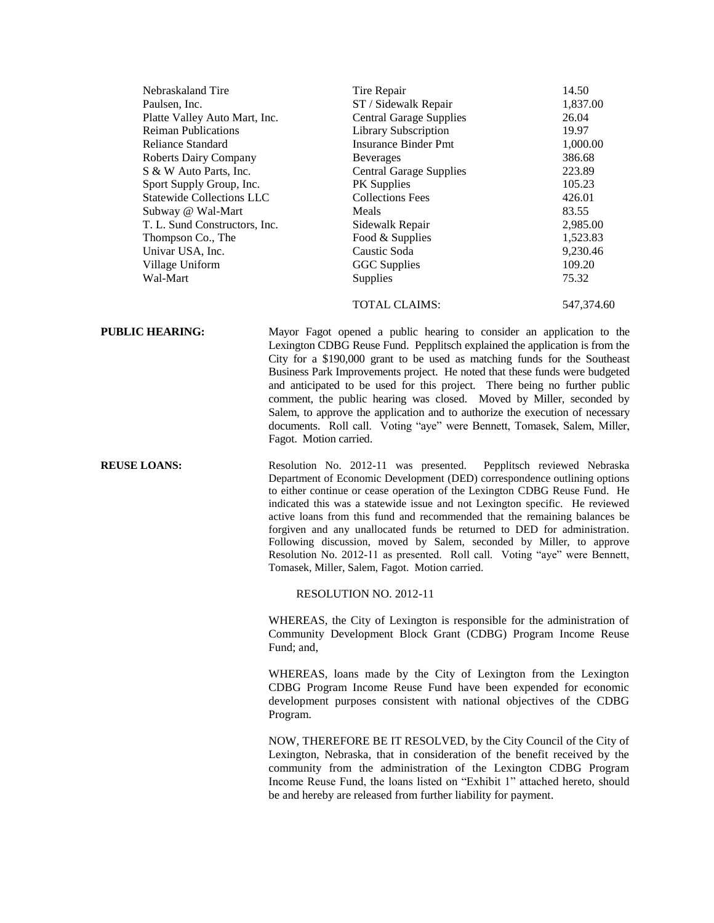| Nebraskaland Tire                | Tire Repair                    | 14.50    |
|----------------------------------|--------------------------------|----------|
| Paulsen, Inc.                    | ST / Sidewalk Repair           | 1,837.00 |
| Platte Valley Auto Mart, Inc.    | <b>Central Garage Supplies</b> | 26.04    |
| <b>Reiman Publications</b>       | <b>Library Subscription</b>    | 19.97    |
| Reliance Standard                | <b>Insurance Binder Pmt</b>    | 1,000.00 |
| <b>Roberts Dairy Company</b>     | <b>Beverages</b>               | 386.68   |
| S & W Auto Parts, Inc.           | <b>Central Garage Supplies</b> | 223.89   |
| Sport Supply Group, Inc.         | <b>PK</b> Supplies             | 105.23   |
| <b>Statewide Collections LLC</b> | <b>Collections Fees</b>        | 426.01   |
| Subway @ Wal-Mart                | Meals                          | 83.55    |
| T. L. Sund Constructors, Inc.    | Sidewalk Repair                | 2,985.00 |
| Thompson Co., The                | Food & Supplies                | 1,523.83 |
| Univar USA, Inc.                 | Caustic Soda                   | 9,230.46 |
| Village Uniform                  | <b>GGC</b> Supplies            | 109.20   |
| Wal-Mart                         | <b>Supplies</b>                | 75.32    |
|                                  |                                |          |

TOTAL CLAIMS: 547,374.60

**PUBLIC HEARING:** Mayor Fagot opened a public hearing to consider an application to the Lexington CDBG Reuse Fund. Pepplitsch explained the application is from the City for a \$190,000 grant to be used as matching funds for the Southeast Business Park Improvements project. He noted that these funds were budgeted and anticipated to be used for this project. There being no further public comment, the public hearing was closed. Moved by Miller, seconded by Salem, to approve the application and to authorize the execution of necessary documents. Roll call. Voting "aye" were Bennett, Tomasek, Salem, Miller, Fagot. Motion carried.

**REUSE LOANS:** Resolution No. 2012-11 was presented. Pepplitsch reviewed Nebraska Department of Economic Development (DED) correspondence outlining options to either continue or cease operation of the Lexington CDBG Reuse Fund. He indicated this was a statewide issue and not Lexington specific. He reviewed active loans from this fund and recommended that the remaining balances be forgiven and any unallocated funds be returned to DED for administration. Following discussion, moved by Salem, seconded by Miller, to approve Resolution No. 2012-11 as presented. Roll call. Voting "aye" were Bennett, Tomasek, Miller, Salem, Fagot. Motion carried.

RESOLUTION NO. 2012-11

WHEREAS, the City of Lexington is responsible for the administration of Community Development Block Grant (CDBG) Program Income Reuse Fund: and.

WHEREAS, loans made by the City of Lexington from the Lexington CDBG Program Income Reuse Fund have been expended for economic development purposes consistent with national objectives of the CDBG Program.

NOW, THEREFORE BE IT RESOLVED, by the City Council of the City of Lexington, Nebraska, that in consideration of the benefit received by the community from the administration of the Lexington CDBG Program Income Reuse Fund, the loans listed on "Exhibit 1" attached hereto, should be and hereby are released from further liability for payment.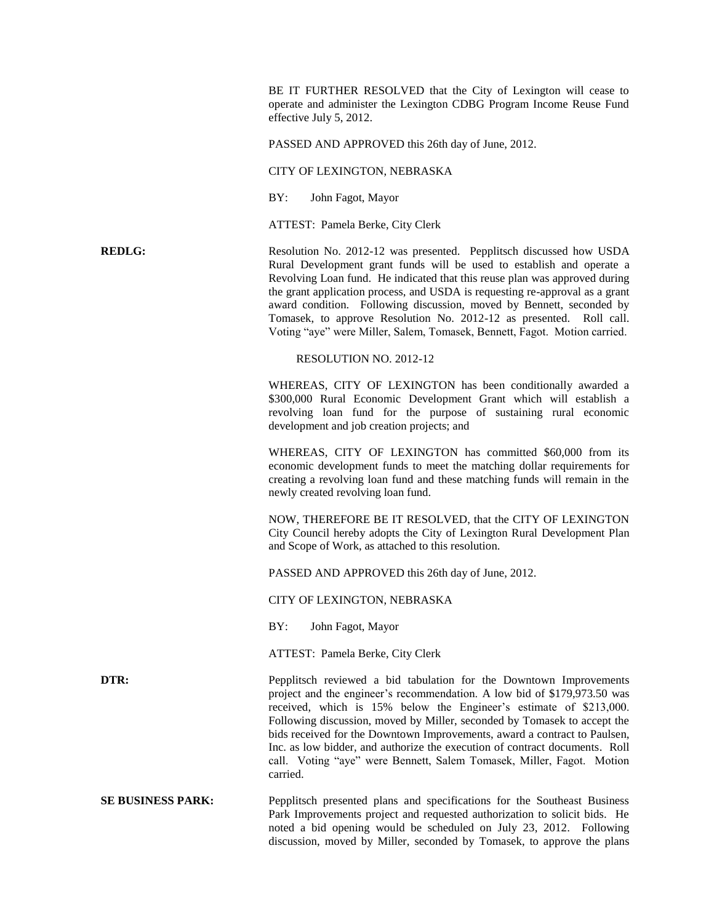BE IT FURTHER RESOLVED that the City of Lexington will cease to operate and administer the Lexington CDBG Program Income Reuse Fund effective July 5, 2012.

PASSED AND APPROVED this 26th day of June, 2012.

CITY OF LEXINGTON, NEBRASKA

BY: John Fagot, Mayor

ATTEST: Pamela Berke, City Clerk

**REDLG:** Resolution No. 2012-12 was presented. Pepplitsch discussed how USDA Rural Development grant funds will be used to establish and operate a Revolving Loan fund. He indicated that this reuse plan was approved during the grant application process, and USDA is requesting re-approval as a grant award condition. Following discussion, moved by Bennett, seconded by Tomasek, to approve Resolution No. 2012-12 as presented. Roll call. Voting "aye" were Miller, Salem, Tomasek, Bennett, Fagot. Motion carried.

## RESOLUTION NO. 2012-12

WHEREAS, CITY OF LEXINGTON has been conditionally awarded a \$300,000 Rural Economic Development Grant which will establish a revolving loan fund for the purpose of sustaining rural economic development and job creation projects; and

WHEREAS, CITY OF LEXINGTON has committed \$60,000 from its economic development funds to meet the matching dollar requirements for creating a revolving loan fund and these matching funds will remain in the newly created revolving loan fund.

NOW, THEREFORE BE IT RESOLVED, that the CITY OF LEXINGTON City Council hereby adopts the City of Lexington Rural Development Plan and Scope of Work, as attached to this resolution.

PASSED AND APPROVED this 26th day of June, 2012.

CITY OF LEXINGTON, NEBRASKA

BY: John Fagot, Mayor

ATTEST: Pamela Berke, City Clerk

**DTR:** Pepplitsch reviewed a bid tabulation for the Downtown Improvements project and the engineer's recommendation. A low bid of \$179,973.50 was received, which is 15% below the Engineer's estimate of \$213,000. Following discussion, moved by Miller, seconded by Tomasek to accept the bids received for the Downtown Improvements, award a contract to Paulsen, Inc. as low bidder, and authorize the execution of contract documents. Roll call. Voting "aye" were Bennett, Salem Tomasek, Miller, Fagot. Motion carried.

**SE BUSINESS PARK:** Pepplitsch presented plans and specifications for the Southeast Business Park Improvements project and requested authorization to solicit bids. He noted a bid opening would be scheduled on July 23, 2012. Following discussion, moved by Miller, seconded by Tomasek, to approve the plans